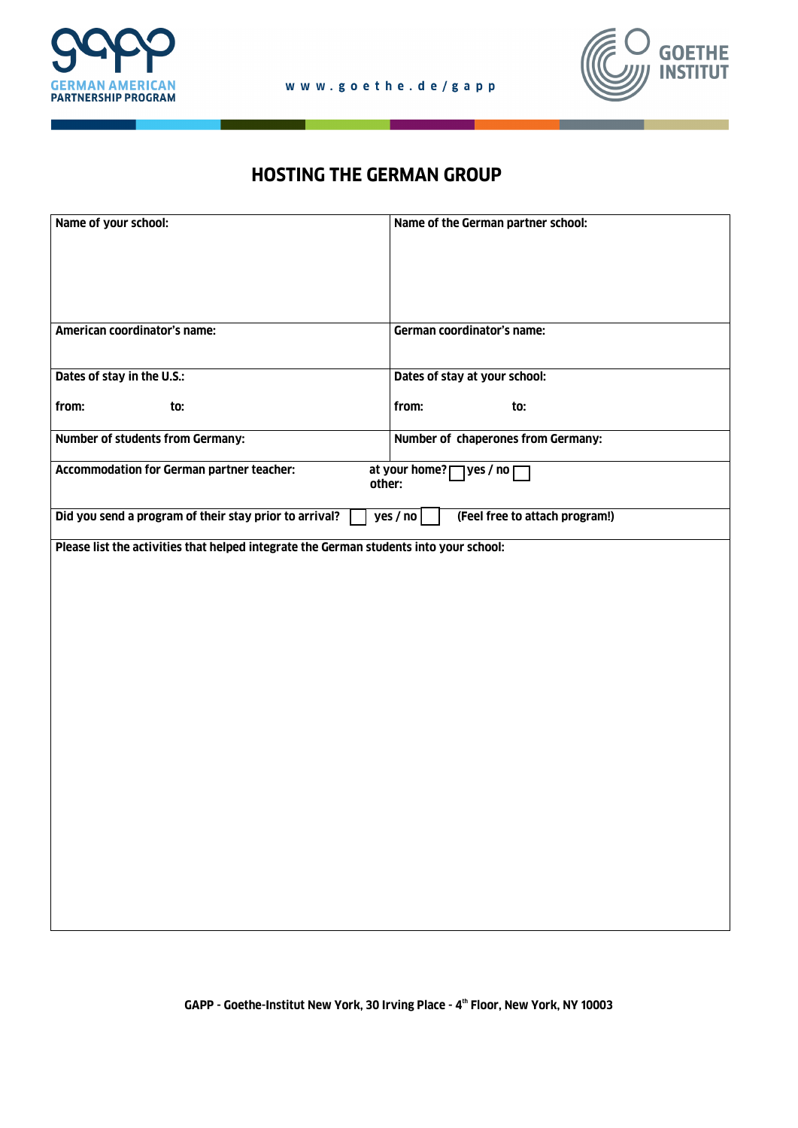



## **HOSTING THE GERMAN GROUP**

| Name of your school:                                                                                   | Name of the German partner school: |  |
|--------------------------------------------------------------------------------------------------------|------------------------------------|--|
| American coordinator's name:                                                                           | German coordinator's name:         |  |
| Dates of stay in the U.S.:                                                                             | Dates of stay at your school:      |  |
| from:<br>to:                                                                                           | from:<br>to:                       |  |
| <b>Number of students from Germany:</b>                                                                | Number of chaperones from Germany: |  |
| <b>Accommodation for German partner teacher:</b><br>at your home? [<br>7 yes / no ∏<br>other:          |                                    |  |
| Did you send a program of their stay prior to arrival?<br>(Feel free to attach program!)<br>yes / $no$ |                                    |  |
| Please list the activities that helped integrate the German students into your school:                 |                                    |  |